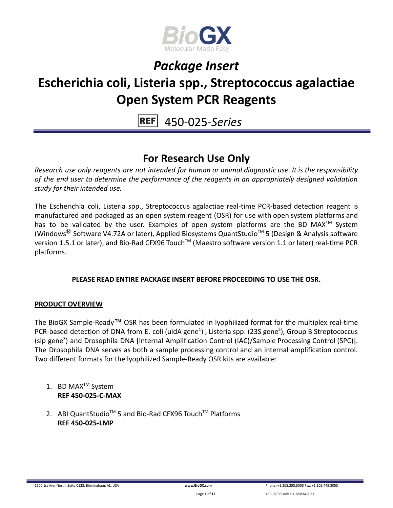

## **Escherichia coli, Listeria spp., Streptococcus agalactiae Open System PCR Reagents**

450-025-*Series*

### **For Research Use Only**

*Research use only reagents are not intended for human or animal diagnostic use. It is the responsibility of the end user to determine the performance of the reagents in an appropriately designed validation study for their intended use.*

The Escherichia coli, Listeria spp., Streptococcus agalactiae real-time PCR-based detection reagent is manufactured and packaged as an open system reagent (OSR) for use with open system platforms and has to be validated by the user. Examples of open system platforms are the BD MAX<sup>™</sup> System (Windows<sup>®</sup> Software V4.72A or later), Applied Biosystems QuantStudio™ 5 (Design & Analysis software version 1.5.1 or later), and Bio-Rad CFX96 Touch™ (Maestro software version 1.1 or later) real-time PCR platforms.

### **PLEASE READ ENTIRE PACKAGE INSERT BEFORE PROCEEDING TO USE THE OSR.**

### **PRODUCT OVERVIEW**

The BioGX Sample-Ready™ OSR has been formulated in lyophilized format for the multiplex real-time PCR-based detection of DNA from E. coli (uidA gene<sup>1</sup>), Listeria spp. (23S gene<sup>2</sup>), Group B Streptococcus (sip gene<sup>3</sup>) and Drosophila DNA [Internal Amplification Control (IAC)/Sample Processing Control (SPC)]. The Drosophila DNA serves as both a sample processing control and an internal amplification control. Two different formats for the lyophilized Sample-Ready OSR kits are available:

- 1. BD MAX<sup>™</sup> System **REF 450-025-C-MAX**
- 2. ABI QuantStudio<sup>™</sup> 5 and Bio-Rad CFX96 Touch™ Platforms **REF 450-025-LMP**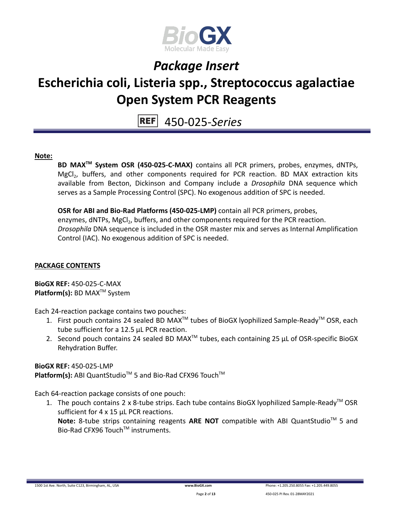

## **Escherichia coli, Listeria spp., Streptococcus agalactiae Open System PCR Reagents**

450-025-*Series*

### **Note:**

**BD MAXTM System OSR (450-025-C-MAX)** contains all PCR primers, probes, enzymes, dNTPs, MgCl<sub>2</sub>, buffers, and other components required for PCR reaction. BD MAX extraction kits available from Becton, Dickinson and Company include a *Drosophila* DNA sequence which serves as a Sample Processing Control (SPC). No exogenous addition of SPC is needed.

**OSR for ABI and Bio-Rad Platforms (450-025-LMP)** contain all PCR primers, probes, enzymes, dNTPs, MgCl<sub>2</sub>, buffers, and other components required for the PCR reaction. *Drosophila* DNA sequence is included in the OSR master mix and serves as Internal Amplification Control (IAC). No exogenous addition of SPC is needed.

### **PACKAGE CONTENTS**

**BioGX REF:** 450-025-C-MAX **Platform(s):** BD MAX<sup>™</sup> System

Each 24-reaction package contains two pouches:

- 1. First pouch contains 24 sealed BD MAX<sup>™</sup> tubes of BioGX lyophilized Sample-Ready<sup>™</sup> OSR, each tube sufficient for a 12.5 µL PCR reaction.
- 2. Second pouch contains 24 sealed BD MAX<sup>™</sup> tubes, each containing 25  $\mu$ L of OSR-specific BioGX Rehydration Buffer.

**BioGX REF:** 450-025-LMP Platform(s): ABI QuantStudio<sup>™</sup> 5 and Bio-Rad CFX96 Touch<sup>™</sup>

Each 64-reaction package consists of one pouch:

1. The pouch contains 2 x 8-tube strips. Each tube contains BioGX lyophilized Sample-Ready<sup>™</sup> OSR sufficient for 4 x 15 µL PCR reactions. Note: 8-tube strips containing reagents ARE NOT compatible with ABI QuantStudio<sup>™</sup> 5 and Bio-Rad CFX96 Touch™ instruments.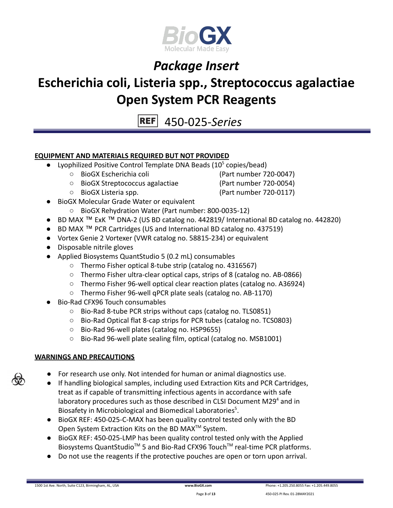

## **Escherichia coli, Listeria spp., Streptococcus agalactiae Open System PCR Reagents**

450-025-*Series*

### **EQUIPMENT AND MATERIALS REQUIRED BUT NOT PROVIDED**

- Lyophilized Positive Control Template DNA Beads  $(10^5 \text{ copies/head})$ 
	- BioGX Escherichia coli (Part number 720-0047)
	- BioGX Streptococcus agalactiae (Part number 720-0054)
	-

- BioGX Listeria spp. (Part number 720-0117)
- BioGX Molecular Grade Water or equivalent
	- BioGX Rehydration Water (Part number: 800-0035-12)
- BD MAX ™ ExK ™ DNA-2 (US BD catalog no. 442819/ International BD catalog no. 442820)
- BD MAX ™ PCR Cartridges (US and International BD catalog no. 437519)
- Vortex Genie 2 Vortexer (VWR catalog no. 58815-234) or equivalent
- Disposable nitrile gloves
- Applied Biosystems QuantStudio 5 (0.2 mL) consumables
	- Thermo Fisher optical 8-tube strip (catalog no. 4316567)
	- Thermo Fisher ultra-clear optical caps, strips of 8 (catalog no. AB-0866)
	- Thermo Fisher 96-well optical clear reaction plates (catalog no. A36924)
	- Thermo Fisher 96-well qPCR plate seals (catalog no. AB-1170)
- Bio-Rad CFX96 Touch consumables
	- Bio-Rad 8-tube PCR strips without caps (catalog no. TLS0851)
	- Bio-Rad Optical flat 8-cap strips for PCR tubes (catalog no. TCS0803)
	- Bio-Rad 96-well plates (catalog no. HSP9655)
	- Bio-Rad 96-well plate sealing film, optical (catalog no. MSB1001)

### **WARNINGS AND PRECAUTIONS**

- For research use only. Not intended for human or animal diagnostics use.
- If handling biological samples, including used Extraction Kits and PCR Cartridges, treat as if capable of transmitting infectious agents in accordance with safe laboratory procedures such as those described in CLSI Document M29 $4$  and in Biosafety in Microbiological and Biomedical Laboratories<sup>5</sup>.
- BioGX REF: 450-025-C-MAX has been quality control tested only with the BD Open System Extraction Kits on the BD MAX<sup>™</sup> System.
- BioGX REF: 450-025-LMP has been quality control tested only with the Applied Biosystems QuantStudio<sup>™</sup> 5 and Bio-Rad CFX96 Touch<sup>™</sup> real-time PCR platforms.
- Do not use the reagents if the protective pouches are open or torn upon arrival.

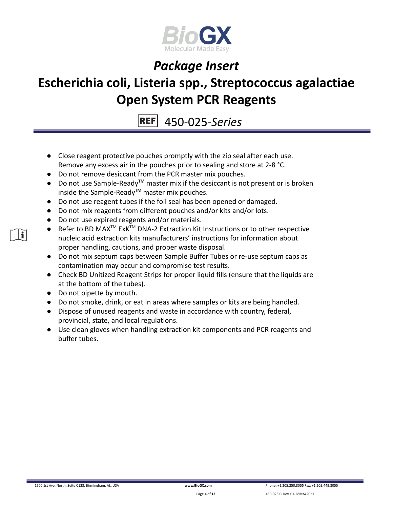

## **Escherichia coli, Listeria spp., Streptococcus agalactiae Open System PCR Reagents**

450-025-*Series*

- Close reagent protective pouches promptly with the zip seal after each use. Remove any excess air in the pouches prior to sealing and store at 2-8 °C.
- Do not remove desiccant from the PCR master mix pouches.
- Do not use Sample-Ready**TM** master mix if the desiccant is not present or is broken inside the Sample-Ready**TM** master mix pouches.
- Do not use reagent tubes if the foil seal has been opened or damaged.
- Do not mix reagents from different pouches and/or kits and/or lots.
- Do not use expired reagents and/or materials.
- Refer to BD MAX<sup>™</sup> ExK<sup>™</sup> DNA-2 Extraction Kit Instructions or to other respective nucleic acid extraction kits manufacturers' instructions for information about proper handling, cautions, and proper waste disposal.
- Do not mix septum caps between Sample Buffer Tubes or re-use septum caps as contamination may occur and compromise test results.
- Check BD Unitized Reagent Strips for proper liquid fills (ensure that the liquids are at the bottom of the tubes).
- Do not pipette by mouth.
- Do not smoke, drink, or eat in areas where samples or kits are being handled.
- Dispose of unused reagents and waste in accordance with country, federal, provincial, state, and local regulations.
- Use clean gloves when handling extraction kit components and PCR reagents and buffer tubes.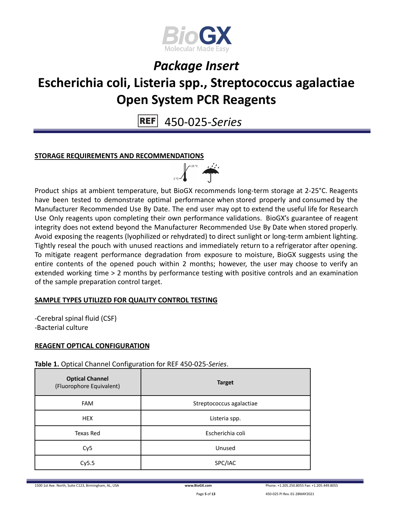

# **Escherichia coli, Listeria spp., Streptococcus agalactiae Open System PCR Reagents**

450-025-*Series*

### **STORAGE REQUIREMENTS AND RECOMMENDATIONS**



Product ships at ambient temperature, but BioGX recommends long-term storage at 2-25°C. Reagents have been tested to demonstrate optimal performance when stored properly and consumed by the Manufacturer Recommended Use By Date. The end user may opt to extend the useful life for Research Use Only reagents upon completing their own performance validations. BioGX's guarantee of reagent integrity does not extend beyond the Manufacturer Recommended Use By Date when stored properly. Avoid exposing the reagents (lyophilized or rehydrated) to direct sunlight or long-term ambient lighting. Tightly reseal the pouch with unused reactions and immediately return to a refrigerator after opening. To mitigate reagent performance degradation from exposure to moisture, BioGX suggests using the entire contents of the opened pouch within 2 months; however, the user may choose to verify an extended working time > 2 months by performance testing with positive controls and an examination of the sample preparation control target.

### **SAMPLE TYPES UTILIZED FOR QUALITY CONTROL TESTING**

-Cerebral spinal fluid (CSF) -Bacterial culture

### **REAGENT OPTICAL CONFIGURATION**

**Table 1.** Optical Channel Configuration for REF 450-025-*Series*.

| <b>Optical Channel</b><br>(Fluorophore Equivalent) | <b>Target</b>            |
|----------------------------------------------------|--------------------------|
| <b>FAM</b>                                         | Streptococcus agalactiae |
| <b>HEX</b>                                         | Listeria spp.            |
| Texas Red                                          | Escherichia coli         |
| Cy <sub>5</sub>                                    | Unused                   |
| Cy5.5                                              | SPC/IAC                  |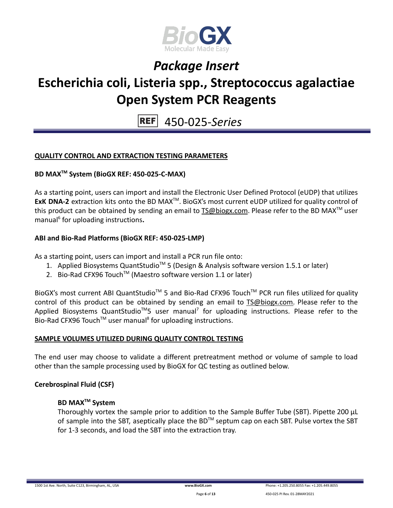

## **Escherichia coli, Listeria spp., Streptococcus agalactiae Open System PCR Reagents**

450-025-*Series*

### **QUALITY CONTROL AND EXTRACTION TESTING PARAMETERS**

### **BD MAXTM System (BioGX REF: 450-025-C-MAX)**

As a starting point, users can import and install the Electronic User Defined Protocol (eUDP) that utilizes ExK DNA-2 extraction kits onto the BD MAX<sup>™</sup>. BioGX's most current eUDP utilized for quality control of this product can be obtained by sending an email to  $TS@biogx.com$ . Please refer to the BD MAX<sup>TM</sup> user manual<sup>6</sup> for uploading instructions**.**

### **ABI and Bio-Rad Platforms (BioGX REF: 450-025-LMP)**

As a starting point, users can import and install a PCR run file onto:

- 1. Applied Biosystems QuantStudio<sup>™</sup> 5 (Design & Analysis software version 1.5.1 or later)
- 2. Bio-Rad CFX96 Touch<sup>™</sup> (Maestro software version 1.1 or later)

BioGX's most current ABI QuantStudio<sup>™</sup> 5 and Bio-Rad CFX96 Touch<sup>™</sup> PCR run files utilized for quality control of this product can be obtained by sending an email to [TS@biogx.com.](mailto:TS@biogx.com) Please refer to the Applied Biosystems QuantStudio<sup>™</sup>5 user manual<sup>7</sup> for uploading instructions. Please refer to the Bio-Rad CFX96 Touch<sup>™</sup> user manual<sup>8</sup> for uploading instructions.

### **SAMPLE VOLUMES UTILIZED DURING QUALITY CONTROL TESTING**

The end user may choose to validate a different pretreatment method or volume of sample to load other than the sample processing used by BioGX for QC testing as outlined below.

### **Cerebrospinal Fluid (CSF)**

### **BD MAXTM System**

Thoroughly vortex the sample prior to addition to the Sample Buffer Tube (SBT). Pipette 200 μL of sample into the SBT, aseptically place the BD<sup>TM</sup> septum cap on each SBT. Pulse vortex the SBT for 1-3 seconds, and load the SBT into the extraction tray.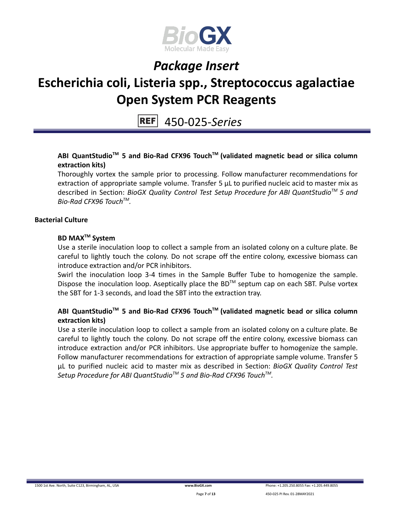

## **Escherichia coli, Listeria spp., Streptococcus agalactiae Open System PCR Reagents**

450-025-*Series*

### **ABI QuantStudioTM 5 and Bio-Rad CFX96 TouchTM (validated magnetic bead or silica column extraction kits)**

Thoroughly vortex the sample prior to processing. Follow manufacturer recommendations for extraction of appropriate sample volume. Transfer 5 μL to purified nucleic acid to master mix as described in Section: *BioGX Quality Control Test Setup Procedure for ABI QuantStudioTM 5 and Bio-Rad CFX96 TouchTM .*

### **Bacterial Culture**

### **BD MAXTM System**

Use a sterile inoculation loop to collect a sample from an isolated colony on a culture plate. Be careful to lightly touch the colony. Do not scrape off the entire colony, excessive biomass can introduce extraction and/or PCR inhibitors.

Swirl the inoculation loop 3-4 times in the Sample Buffer Tube to homogenize the sample. Dispose the inoculation loop. Aseptically place the BD™ septum cap on each SBT. Pulse vortex the SBT for 1-3 seconds, and load the SBT into the extraction tray.

### **ABI QuantStudioTM 5 and Bio-Rad CFX96 TouchTM (validated magnetic bead or silica column extraction kits)**

Use a sterile inoculation loop to collect a sample from an isolated colony on a culture plate. Be careful to lightly touch the colony. Do not scrape off the entire colony, excessive biomass can introduce extraction and/or PCR inhibitors. Use appropriate buffer to homogenize the sample. Follow manufacturer recommendations for extraction of appropriate sample volume. Transfer 5 μL to purified nucleic acid to master mix as described in Section: *BioGX Quality Control Test Setup Procedure for ABI QuantStudioTM 5 and Bio-Rad CFX96 TouchTM .*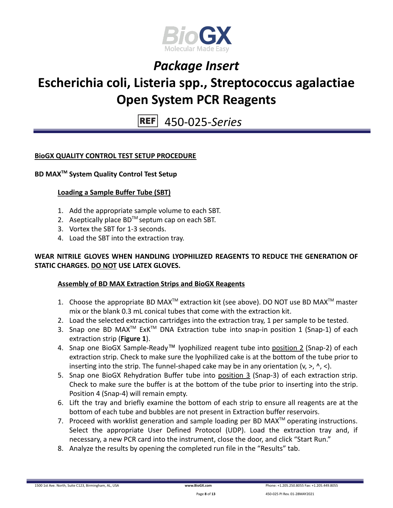

# **Escherichia coli, Listeria spp., Streptococcus agalactiae Open System PCR Reagents**

450-025-*Series*

### **BioGX QUALITY CONTROL TEST SETUP PROCEDURE**

### **BD MAXTM System Quality Control Test Setup**

### **Loading a Sample Buffer Tube (SBT)**

- 1. Add the appropriate sample volume to each SBT.
- 2. Aseptically place  $BD^{TM}$  septum cap on each SBT.
- 3. Vortex the SBT for 1-3 seconds.
- 4. Load the SBT into the extraction tray.

### **WEAR NITRILE GLOVES WHEN HANDLING LYOPHILIZED REAGENTS TO REDUCE THE GENERATION OF STATIC CHARGES. DO NOT USE LATEX GLOVES.**

### **Assembly of BD MAX Extraction Strips and BioGX Reagents**

- 1. Choose the appropriate BD MAX<sup>TM</sup> extraction kit (see above). DO NOT use BD MAX<sup>TM</sup> master mix or the blank 0.3 mL conical tubes that come with the extraction kit.
- 2. Load the selected extraction cartridges into the extraction tray, 1 per sample to be tested.
- 3. Snap one BD MAX<sup>™</sup> ExK<sup>™</sup> DNA Extraction tube into snap-in position 1 (Snap-1) of each extraction strip (**Figure 1**).
- 4. Snap one BioGX Sample-Ready™ lyophilized reagent tube into position 2 (Snap-2) of each extraction strip. Check to make sure the lyophilized cake is at the bottom of the tube prior to inserting into the strip. The funnel-shaped cake may be in any orientation  $(v, >, ' , <)$ .
- 5. Snap one BioGX Rehydration Buffer tube into position 3 (Snap-3) of each extraction strip. Check to make sure the buffer is at the bottom of the tube prior to inserting into the strip. Position 4 (Snap-4) will remain empty.
- 6. Lift the tray and briefly examine the bottom of each strip to ensure all reagents are at the bottom of each tube and bubbles are not present in Extraction buffer reservoirs.
- 7. Proceed with worklist generation and sample loading per BD MAX $^{TM}$  operating instructions. Select the appropriate User Defined Protocol (UDP). Load the extraction tray and, if necessary, a new PCR card into the instrument, close the door, and click "Start Run."
- 8. Analyze the results by opening the completed run file in the "Results" tab.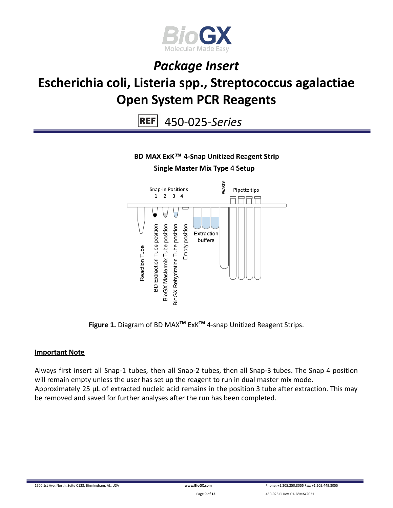

## **Escherichia coli, Listeria spp., Streptococcus agalactiae Open System PCR Reagents**

450-025-*Series*

### BD MAX ExK™ 4-Snap Unitized Reagent Strip

#### **Single Master Mix Type 4 Setup**



**Figure 1.** Diagram of BD MAX**TM** ExK**TM** 4-snap Unitized Reagent Strips.

### **Important Note**

Always first insert all Snap-1 tubes, then all Snap-2 tubes, then all Snap-3 tubes. The Snap 4 position will remain empty unless the user has set up the reagent to run in dual master mix mode. Approximately 25 µL of extracted nucleic acid remains in the position 3 tube after extraction. This may be removed and saved for further analyses after the run has been completed.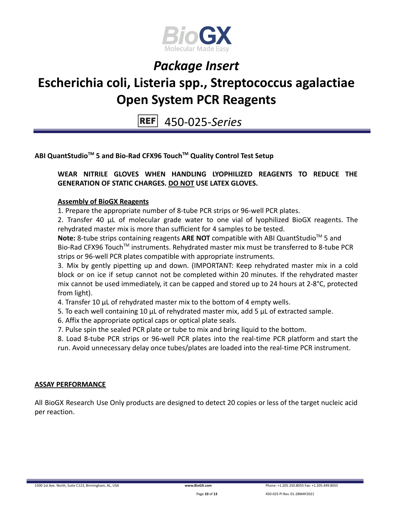

## **Escherichia coli, Listeria spp., Streptococcus agalactiae Open System PCR Reagents**

450-025-*Series*

### **ABI QuantStudioTM 5 and Bio-Rad CFX96 TouchTM Quality Control Test Setup**

### **WEAR NITRILE GLOVES WHEN HANDLING LYOPHILIZED REAGENTS TO REDUCE THE GENERATION OF STATIC CHARGES. DO NOT USE LATEX GLOVES.**

### **Assembly of BioGX Reagents**

1. Prepare the appropriate number of 8-tube PCR strips or 96-well PCR plates.

2. Transfer 40 μL of molecular grade water to one vial of lyophilized BioGX reagents. The rehydrated master mix is more than sufficient for 4 samples to be tested.

Note: 8-tube strips containing reagents ARE NOT compatible with ABI QuantStudio<sup>™</sup> 5 and Bio-Rad CFX96 Touch<sup>™</sup> instruments. Rehydrated master mix must be transferred to 8-tube PCR strips or 96-well PCR plates compatible with appropriate instruments.

3. Mix by gently pipetting up and down. (IMPORTANT: Keep rehydrated master mix in a cold block or on ice if setup cannot not be completed within 20 minutes. If the rehydrated master mix cannot be used immediately, it can be capped and stored up to 24 hours at 2-8°C, protected from light).

- 4. Transfer 10 μL of rehydrated master mix to the bottom of 4 empty wells.
- 5. To each well containing 10 μL of rehydrated master mix, add 5 μL of extracted sample.
- 6. Affix the appropriate optical caps or optical plate seals.
- 7. Pulse spin the sealed PCR plate or tube to mix and bring liquid to the bottom.

8. Load 8-tube PCR strips or 96-well PCR plates into the real-time PCR platform and start the run. Avoid unnecessary delay once tubes/plates are loaded into the real-time PCR instrument.

### **ASSAY PERFORMANCE**

All BioGX Research Use Only products are designed to detect 20 copies or less of the target nucleic acid per reaction.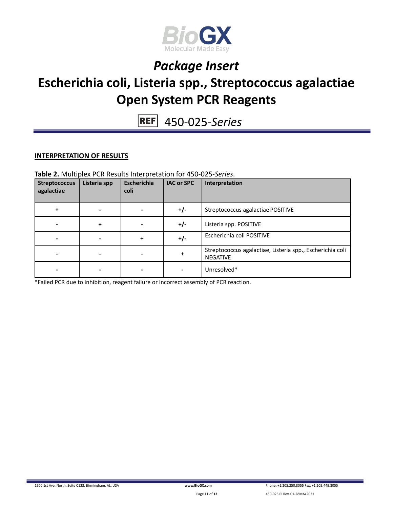

## **Escherichia coli, Listeria spp., Streptococcus agalactiae Open System PCR Reagents**

450-025-*Series*

### **INTERPRETATION OF RESULTS**

#### **Table 2.** Multiplex PCR Results Interpretation for 450-025-*Series*.

| <b>Streptococcus</b><br>agalactiae | Listeria spp | Escherichia<br>coli | <b>IAC or SPC</b> | Interpretation                                                               |
|------------------------------------|--------------|---------------------|-------------------|------------------------------------------------------------------------------|
|                                    |              |                     | $+/-$             | Streptococcus agalactiae POSITIVE                                            |
|                                    | ÷            |                     | $+/-$             | Listeria spp. POSITIVE                                                       |
|                                    |              |                     | $+/-$             | Escherichia coli POSITIVE                                                    |
|                                    |              |                     | $\ddot{}$         | Streptococcus agalactiae, Listeria spp., Escherichia coli<br><b>NEGATIVE</b> |
|                                    |              |                     |                   | Unresolved*                                                                  |

\*Failed PCR due to inhibition, reagent failure or incorrect assembly of PCR reaction.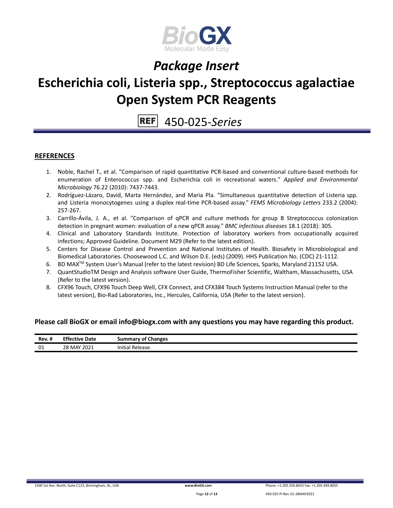

## **Escherichia coli, Listeria spp., Streptococcus agalactiae Open System PCR Reagents**

450-025-*Series*

#### **REFERENCES**

- 1. Noble, Rachel T., et al. "Comparison of rapid quantitative PCR-based and conventional culture-based methods for enumeration of Enterococcus spp. and Escherichia coli in recreational waters." *Applied and Environmental Microbiology* 76.22 (2010): 7437-7443.
- 2. Rodríguez-Lázaro, David, Marta Hernández, and Maria Pla. "Simultaneous quantitative detection of Listeria spp. and Listeria monocytogenes using a duplex real-time PCR-based assay." *FEMS Microbiology Letters* 233.2 (2004): 257-267.
- 3. Carrillo-Ávila, J. A., et al. "Comparison of qPCR and culture methods for group B Streptococcus colonization detection in pregnant women: evaluation of a new qPCR assay." *BMC infectious diseases* 18.1 (2018): 305.
- 4. Clinical and Laboratory Standards Institute. Protection of laboratory workers from occupationally acquired infections; Approved Guideline. Document M29 (Refer to the latest edition).
- 5. Centers for Disease Control and Prevention and National Institutes of Health. Biosafety in Microbiological and Biomedical Laboratories. Choosewood L.C. and Wilson D.E. (eds) (2009). HHS Publication No. (CDC) 21-1112.
- 6. BD MAX<sup>™</sup> System User's Manual (refer to the latest revision) BD Life Sciences, Sparks, Maryland 21152 USA.
- 7. QuantStudioTM Design and Analysis software User Guide, ThermoFisher Scientific, Waltham, Massachusetts, USA (Refer to the latest version).
- 8. CFX96 Touch, CFX96 Touch Deep Well, CFX Connect, and CFX384 Touch Systems Instruction Manual (refer to the latest version), Bio-Rad Laboratories, Inc., Hercules, California, USA (Refer to the latest version).

#### **Please call BioGX or email info@biogx.com with any questions you may have regarding this product.**

| Rev. # | <b>Effective Date</b><br>___<br>_ _ _ _ | Summary of Changes<br>. |
|--------|-----------------------------------------|-------------------------|
| 01     | 28 MAY 2021<br>____                     | Initia'<br>Release.     |